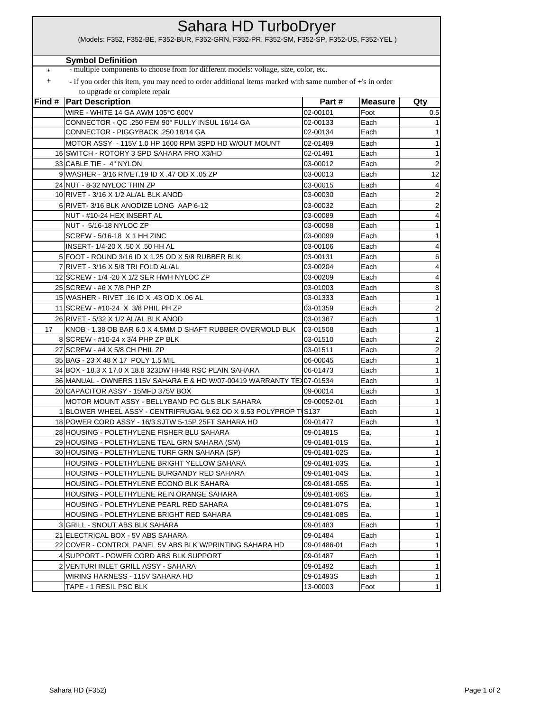| Sahara HD TurboDryer<br>(Models: F352, F352-BE, F352-BUR, F352-GRN, F352-PR, F352-SM, F352-SP, F352-US, F352-YEL) |                                                                                                          |              |                |                |
|-------------------------------------------------------------------------------------------------------------------|----------------------------------------------------------------------------------------------------------|--------------|----------------|----------------|
|                                                                                                                   |                                                                                                          |              |                |                |
|                                                                                                                   | <b>Symbol Definition</b>                                                                                 |              |                |                |
| $\ast$                                                                                                            | - multiple components to choose from for different models: voltage, size, color, etc.                    |              |                |                |
| $^{+}$                                                                                                            | - if you order this item, you may need to order additional items marked with same number of +'s in order |              |                |                |
|                                                                                                                   | to upgrade or complete repair                                                                            |              |                |                |
|                                                                                                                   | <b>Find #   Part Description</b>                                                                         | Part#        | <b>Measure</b> | Qty            |
|                                                                                                                   | WIRE - WHITE 14 GA AWM 105°C 600V                                                                        | 02-00101     | Foot           | 0.5            |
|                                                                                                                   | CONNECTOR - QC .250 FEM 90° FULLY INSUL 16/14 GA                                                         | 02-00133     | Each           | 1              |
|                                                                                                                   | CONNECTOR - PIGGYBACK .250 18/14 GA                                                                      | 02-00134     | Each           | 1              |
|                                                                                                                   | MOTOR ASSY - 115V 1.0 HP 1600 RPM 3SPD HD W/OUT MOUNT                                                    | 02-01489     | Each           | $\mathbf 1$    |
|                                                                                                                   | 16 SWITCH - ROTORY 3 SPD SAHARA PRO X3/HD                                                                | 02-01491     | Each           | $\mathbf 1$    |
|                                                                                                                   | 33 CABLE TIE - 4" NYLON                                                                                  | 03-00012     | Each           | $\overline{a}$ |
|                                                                                                                   | 9 WASHER - 3/16 RIVET.19 ID X .47 OD X .05 ZP                                                            | 03-00013     | Each           | 12             |
|                                                                                                                   | 24 NUT - 8-32 NYLOC THIN ZP                                                                              | 03-00015     | Each           | 4              |
|                                                                                                                   | 10 RIVET - 3/16 X 1/2 AL/AL BLK ANOD                                                                     | 03-00030     | Each           | $\overline{a}$ |
|                                                                                                                   | 6 RIVET- 3/16 BLK ANODIZE LONG AAP 6-12                                                                  | 03-00032     | Each           | $\overline{a}$ |
|                                                                                                                   | NUT - #10-24 HEX INSERT AL                                                                               | 03-00089     | Each           | 4              |
|                                                                                                                   | NUT - 5/16-18 NYLOC ZP                                                                                   | 03-00098     | Each           | $\mathbf{1}$   |
|                                                                                                                   | SCREW - 5/16-18 X 1 HH ZINC                                                                              | 03-00099     | Each           | $\mathbf 1$    |
|                                                                                                                   | INSERT- 1/4-20 X .50 X .50 HH AL                                                                         | 03-00106     | Each           | 4              |
|                                                                                                                   | 5 FOOT - ROUND 3/16 ID X 1.25 OD X 5/8 RUBBER BLK                                                        | 03-00131     | Each           | 6              |
|                                                                                                                   | 7 RIVET - 3/16 X 5/8 TRI FOLD AL/AL                                                                      | 03-00204     | Each           | 4              |
|                                                                                                                   | 12 SCREW - 1/4 - 20 X 1/2 SER HWH NYLOC ZP                                                               | 03-00209     | Each           | 4              |
|                                                                                                                   | 25 SCREW - #6 X 7/8 PHP ZP                                                                               | 03-01003     | Each           | 8              |
|                                                                                                                   | 15 WASHER - RIVET .16 ID X .43 OD X .06 AL                                                               | 03-01333     | Each           | 1              |
|                                                                                                                   | 11 SCREW - #10-24 X 3/8 PHIL PH ZP                                                                       | 03-01359     | Each           | $\overline{a}$ |
|                                                                                                                   | 26 RIVET - 5/32 X 1/2 AL/AL BLK ANOD                                                                     | 03-01367     | Each           | $\mathbf 1$    |
| 17                                                                                                                | KNOB - 1.38 OB BAR 6.0 X 4.5MM D SHAFT RUBBER OVERMOLD BLK                                               | 03-01508     | Each           | 1              |
|                                                                                                                   | 8 SCREW - #10-24 x 3/4 PHP ZP BLK                                                                        | 03-01510     | Each           | $\overline{a}$ |
|                                                                                                                   | 27 SCREW - #4 X 5/8 CH PHIL ZP                                                                           | 03-01511     | Each           | $\overline{a}$ |
|                                                                                                                   | 35 BAG - 23 X 48 X 17 POLY 1.5 MIL                                                                       | 06-00045     | Each           | 1              |
|                                                                                                                   | 34 BOX - 18.3 X 17.0 X 18.8 323DW HH48 RSC PLAIN SAHARA                                                  | 06-01473     | Each           | $\mathbf 1$    |
|                                                                                                                   | 36 MANUAL - OWNERS 115V SAHARA E & HD W/07-00419 WARRANTY TEX 07-01534                                   |              | Each           | 1              |
|                                                                                                                   | 20 CAPACITOR ASSY - 15MFD 375V BOX                                                                       | 09-00014     | Each           | 1              |
|                                                                                                                   | MOTOR MOUNT ASSY - BELLYBAND PC GLS BLK SAHARA                                                           | 09-00052-01  | Each           | 1              |
|                                                                                                                   | BLOWER WHEEL ASSY - CENTRIFRUGAL 9.62 OD X 9.53 POLYPROP T S137                                          |              | Each           | 1              |
|                                                                                                                   | 18 POWER CORD ASSY - 16/3 SJTW 5-15P 25FT SAHARA HD                                                      | 09-01477     | Each           | $\mathbf 1$    |
|                                                                                                                   | 28 HOUSING - POLETHYLENE FISHER BLU SAHARA                                                               | 09-01481S    | Ea.            | -1             |
|                                                                                                                   | 29 HOUSING - POLETHYLENE TEAL GRN SAHARA (SM)                                                            | 09-01481-01S | Ea.            | 1              |
|                                                                                                                   | 30 HOUSING - POLETHYLENE TURF GRN SAHARA (SP)                                                            | 09-01481-02S | Ea.            | 1              |
|                                                                                                                   | HOUSING - POLETHYLENE BRIGHT YELLOW SAHARA                                                               | 09-01481-03S | Ea.            | 1              |
|                                                                                                                   | HOUSING - POLETHYLENE BURGANDY RED SAHARA                                                                | 09-01481-04S | Ea.            | 1              |
|                                                                                                                   | HOUSING - POLETHYLENE ECONO BLK SAHARA                                                                   | 09-01481-05S | Ea.            | $\mathbf 1$    |
|                                                                                                                   | HOUSING - POLETHYLENE REIN ORANGE SAHARA                                                                 | 09-01481-06S | Ea.            | 1              |
|                                                                                                                   | HOUSING - POLETHYLENE PEARL RED SAHARA                                                                   | 09-01481-07S | Ea.            | $\mathbf 1$    |
|                                                                                                                   | HOUSING - POLETHYLENE BRIGHT RED SAHARA                                                                  | 09-01481-08S | Ea.            | $\mathbf 1$    |
|                                                                                                                   | 3 GRILL - SNOUT ABS BLK SAHARA                                                                           | 09-01483     | Each           | $\mathbf 1$    |
|                                                                                                                   | 21 ELECTRICAL BOX - 5V ABS SAHARA                                                                        | 09-01484     | Each           |                |
|                                                                                                                   | 22 COVER - CONTROL PANEL 5V ABS BLK W/PRINTING SAHARA HD                                                 | 09-01486-01  | Each           | -1<br>1        |
|                                                                                                                   |                                                                                                          |              |                |                |
|                                                                                                                   | 4 SUPPORT - POWER CORD ABS BLK SUPPORT                                                                   | 09-01487     | Each           | 1              |
|                                                                                                                   | 2 VENTURI INLET GRILL ASSY - SAHARA                                                                      | 09-01492     | Each           | 1              |
|                                                                                                                   | WIRING HARNESS - 115V SAHARA HD                                                                          | 09-01493S    | Each           | 1              |
|                                                                                                                   | TAPE - 1 RESIL PSC BLK                                                                                   | 13-00003     | Foot           | 1              |